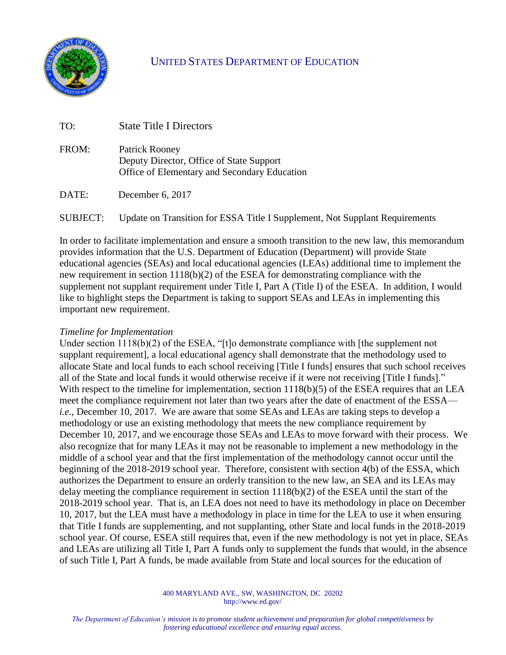

## UNITED STATES DEPARTMENT OF EDUCATION

| TO:   | <b>State Title I Directors</b>                                                                             |
|-------|------------------------------------------------------------------------------------------------------------|
| FROM: | Patrick Rooney<br>Deputy Director, Office of State Support<br>Office of Elementary and Secondary Education |
| DATE: | December $6, 2017$                                                                                         |
|       |                                                                                                            |

SUBJECT: Update on Transition for ESSA Title I Supplement, Not Supplant Requirements

In order to facilitate implementation and ensure a smooth transition to the new law, this memorandum provides information that the U.S. Department of Education (Department) will provide State educational agencies (SEAs) and local educational agencies (LEAs) additional time to implement the new requirement in section 1118(b)(2) of the ESEA for demonstrating compliance with the supplement not supplant requirement under Title I, Part A (Title I) of the ESEA. In addition, I would like to highlight steps the Department is taking to support SEAs and LEAs in implementing this important new requirement.

## *Timeline for Implementation*

Under section 1118(b)(2) of the ESEA, "[t]o demonstrate compliance with [the supplement not supplant requirement], a local educational agency shall demonstrate that the methodology used to allocate State and local funds to each school receiving [Title I funds] ensures that such school receives all of the State and local funds it would otherwise receive if it were not receiving [Title I funds]." With respect to the timeline for implementation, section 1118(b)(5) of the ESEA requires that an LEA meet the compliance requirement not later than two years after the date of enactment of the ESSA *i.e.*, December 10, 2017. We are aware that some SEAs and LEAs are taking steps to develop a methodology or use an existing methodology that meets the new compliance requirement by December 10, 2017, and we encourage those SEAs and LEAs to move forward with their process. We also recognize that for many LEAs it may not be reasonable to implement a new methodology in the middle of a school year and that the first implementation of the methodology cannot occur until the beginning of the 2018-2019 school year. Therefore, consistent with section 4(b) of the ESSA, which authorizes the Department to ensure an orderly transition to the new law, an SEA and its LEAs may delay meeting the compliance requirement in section 1118(b)(2) of the ESEA until the start of the 2018-2019 school year. That is, an LEA does not need to have its methodology in place on December 10, 2017, but the LEA must have a methodology in place in time for the LEA to use it when ensuring that Title I funds are supplementing, and not supplanting, other State and local funds in the 2018-2019 school year. Of course, ESEA still requires that, even if the new methodology is not yet in place, SEAs and LEAs are utilizing all Title I, Part A funds only to supplement the funds that would, in the absence of such Title I, Part A funds, be made available from State and local sources for the education of

> 400 MARYLAND AVE., SW, WASHINGTON, DC 20202 http://www.ed.gov/